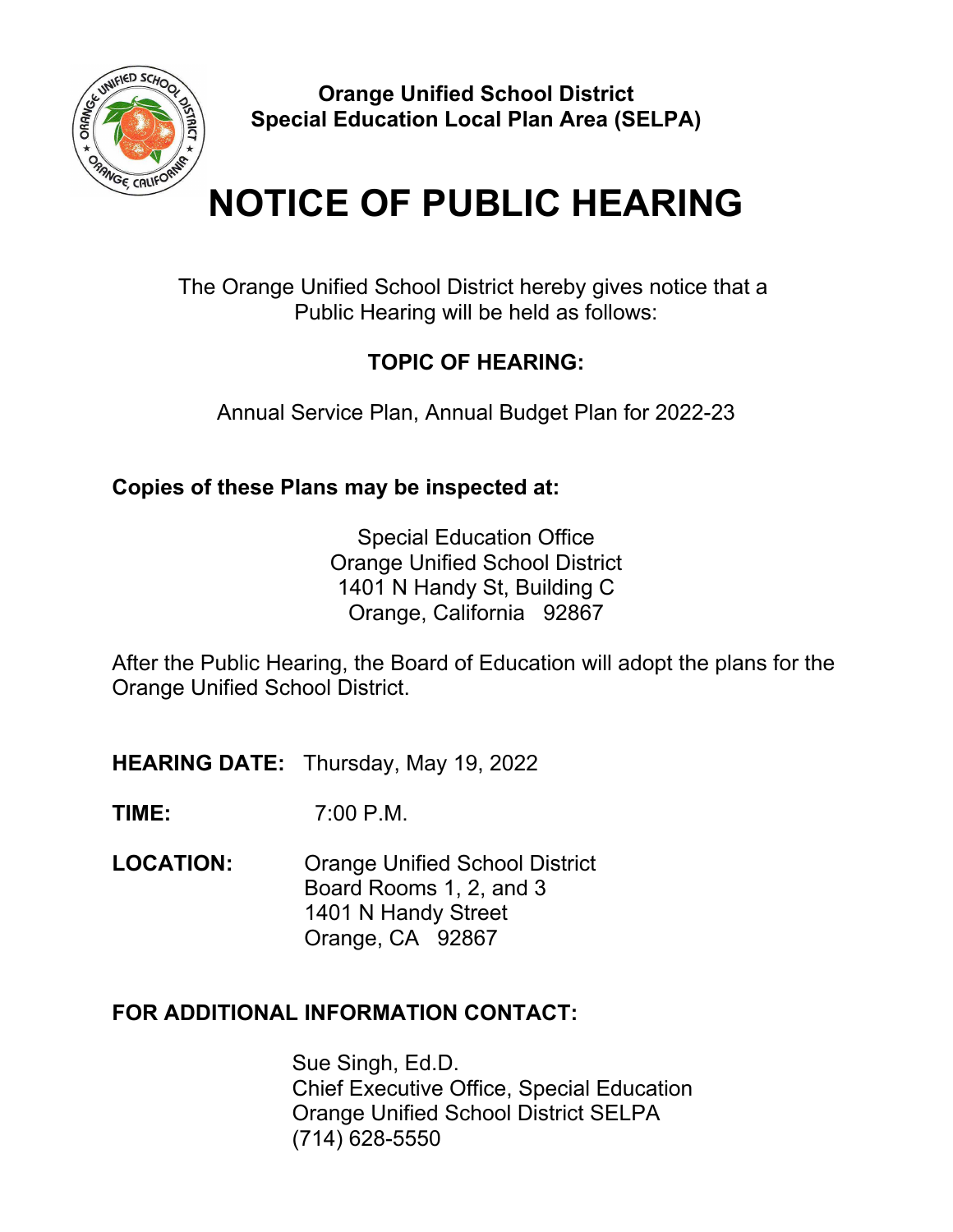

**Orange Unified School District Special Education Local Plan Area (SELPA)**

# **NOTICE OF PUBLIC HEARING**

The Orange Unified School District hereby gives notice that a Public Hearing will be held as follows:

## **TOPIC OF HEARING:**

Annual Service Plan, Annual Budget Plan for 2022-23

**Copies of these Plans may be inspected at:**

Special Education Office Orange Unified School District 1401 N Handy St, Building C Orange, California 92867

After the Public Hearing, the Board of Education will adopt the plans for the Orange Unified School District.

**HEARING DATE:** Thursday, May 19, 2022

**TIME:** 7:00 P.M.

**LOCATION:** Orange Unified School District Board Rooms 1, 2, and 3 1401 N Handy Street Orange, CA 92867

### **FOR ADDITIONAL INFORMATION CONTACT:**

Sue Singh, Ed.D. Chief Executive Office, Special Education Orange Unified School District SELPA (714) 628-5550